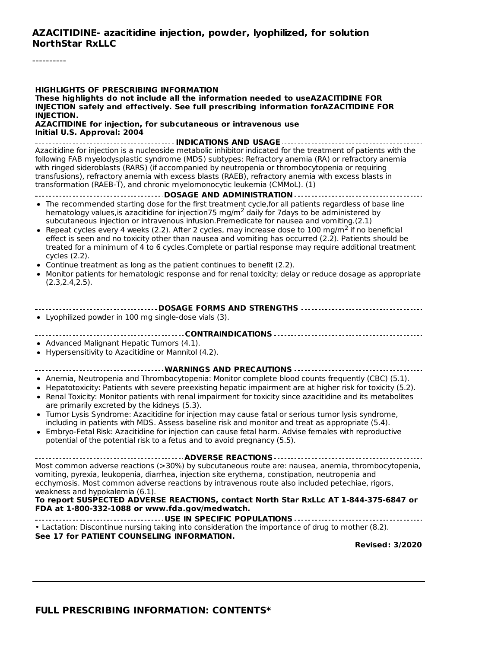#### **AZACITIDINE- azacitidine injection, powder, lyophilized, for solution NorthStar RxLLC**

----------

#### **HIGHLIGHTS OF PRESCRIBING INFORMATION These highlights do not include all the information needed to useAZACITIDINE FOR INJECTION safely and effectively. See full prescribing information forAZACITIDINE FOR INJECTION. AZACITIDINE for injection, for subcutaneous or intravenous use Initial U.S. Approval: 2004 INDICATIONS AND USAGE** Azacitidine for injection is a nucleoside metabolic inhibitor indicated for the treatment of patients with the following FAB myelodysplastic syndrome (MDS) subtypes: Refractory anemia (RA) or refractory anemia with ringed sideroblasts (RARS) (if accompanied by neutropenia or thrombocytopenia or requiring transfusions), refractory anemia with excess blasts (RAEB), refractory anemia with excess blasts in transformation (RAEB-T), and chronic myelomonocytic leukemia (CMMoL). (1) **DOSAGE AND ADMINISTRATION** • The recommended starting dose for the first treatment cycle, for all patients regardless of base line hematology values, is azacitidine for injection 75 mg/m<sup>2</sup> daily for 7 days to be administered by subcutaneous injection or intravenous infusion.Premedicate for nausea and vomiting.(2.1) Repeat cycles every 4 weeks (2.2). After 2 cycles, may increase dose to 100 mg/m<sup>2</sup> if no beneficial effect is seen and no toxicity other than nausea and vomiting has occurred (2.2). Patients should be treated for a minimum of 4 to 6 cycles.Complete or partial response may require additional treatment cycles (2.2). Continue treatment as long as the patient continues to benefit (2.2). Monitor patients for hematologic response and for renal toxicity; delay or reduce dosage as appropriate (2.3,2.4,2.5). **DOSAGE FORMS AND STRENGTHS** Lyophilized powder in 100 mg single-dose vials (3). **CONTRAINDICATIONS** • Advanced Malignant Hepatic Tumors (4.1). Hypersensitivity to Azacitidine or Mannitol (4.2). **WARNINGS AND PRECAUTIONS** Anemia, Neutropenia and Thrombocytopenia: Monitor complete blood counts frequently (CBC) (5.1). • Hepatotoxicity: Patients with severe preexisting hepatic impairment are at higher risk for toxicity (5.2). • Renal Toxicity: Monitor patients with renal impairment for toxicity since azacitidine and its metabolites are primarily excreted by the kidneys (5.3). Tumor Lysis Syndrome: Azacitidine for injection may cause fatal or serious tumor lysis syndrome, including in patients with MDS. Assess baseline risk and monitor and treat as appropriate (5.4). Embryo-Fetal Risk: Azacitidine for injection can cause fetal harm. Advise females with reproductive  $\bullet$ potential of the potential risk to a fetus and to avoid pregnancy (5.5). **ADVERSE REACTIONS** Most common adverse reactions (>30%) by subcutaneous route are: nausea, anemia, thrombocytopenia, vomiting, pyrexia, leukopenia, diarrhea, injection site erythema, constipation, neutropenia and ecchymosis. Most common adverse reactions by intravenous route also included petechiae, rigors, weakness and hypokalemia (6.1). **To report SUSPECTED ADVERSE REACTIONS, contact North Star RxLLc AT 1-844-375-6847 or FDA at 1-800-332-1088 or www.fda.gov/medwatch. USE IN SPECIFIC POPULATIONS** • Lactation: Discontinue nursing taking into consideration the importance of drug to mother (8.2). **See 17 for PATIENT COUNSELING INFORMATION. Revised: 3/2020**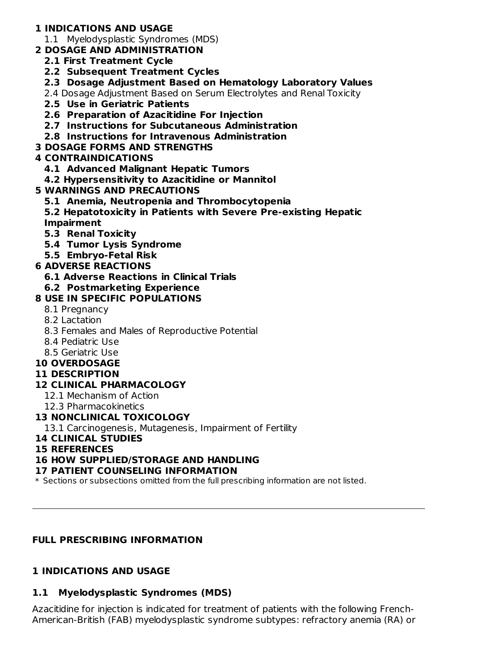# **1 INDICATIONS AND USAGE**

- 1.1 Myelodysplastic Syndromes (MDS)
- **2 DOSAGE AND ADMINISTRATION**
	- **2.1 First Treatment Cycle**
	- **2.2 Subsequent Treatment Cycles**
	- **2.3 Dosage Adjustment Based on Hematology Laboratory Values**
	- 2.4 Dosage Adjustment Based on Serum Electrolytes and Renal Toxicity
	- **2.5 Use in Geriatric Patients**
	- **2.6 Preparation of Azacitidine For Injection**
	- **2.7 Instructions for Subcutaneous Administration**
	- **2.8 Instructions for Intravenous Administration**
- **3 DOSAGE FORMS AND STRENGTHS**

# **4 CONTRAINDICATIONS**

- **4.1 Advanced Malignant Hepatic Tumors**
- **4.2 Hypersensitivity to Azacitidine or Mannitol**
- **5 WARNINGS AND PRECAUTIONS**
	- **5.1 Anemia, Neutropenia and Thrombocytopenia**
	- **5.2 Hepatotoxicity in Patients with Severe Pre-existing Hepatic Impairment**
	- **5.3 Renal Toxicity**
	- **5.4 Tumor Lysis Syndrome**
	- **5.5 Embryo-Fetal Risk**

# **6 ADVERSE REACTIONS**

**6.1 Adverse Reactions in Clinical Trials**

## **6.2 Postmarketing Experience**

# **8 USE IN SPECIFIC POPULATIONS**

- 8.1 Pregnancy
- 8.2 Lactation
- 8.3 Females and Males of Reproductive Potential
- 8.4 Pediatric Use
- 8.5 Geriatric Use
- **10 OVERDOSAGE**
- **11 DESCRIPTION**

## **12 CLINICAL PHARMACOLOGY**

- 12.1 Mechanism of Action
- 12.3 Pharmacokinetics

## **13 NONCLINICAL TOXICOLOGY**

13.1 Carcinogenesis, Mutagenesis, Impairment of Fertility

## **14 CLINICAL STUDIES**

## **15 REFERENCES**

## **16 HOW SUPPLIED/STORAGE AND HANDLING**

## **17 PATIENT COUNSELING INFORMATION**

\* Sections or subsections omitted from the full prescribing information are not listed.

# **FULL PRESCRIBING INFORMATION**

# **1 INDICATIONS AND USAGE**

# **1.1 Myelodysplastic Syndromes (MDS)**

Azacitidine for injection is indicated for treatment of patients with the following French-American-British (FAB) myelodysplastic syndrome subtypes: refractory anemia (RA) or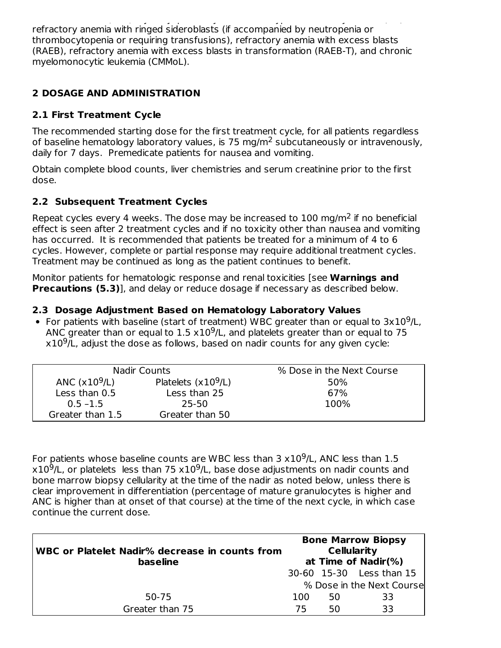American-British (FAB) myelodysplastic syndrome subtypes: refractory anemia (RA) or refractory anemia with ringed sideroblasts (if accompanied by neutropenia or thrombocytopenia or requiring transfusions), refractory anemia with excess blasts (RAEB), refractory anemia with excess blasts in transformation (RAEB-T), and chronic myelomonocytic leukemia (CMMoL).

# **2 DOSAGE AND ADMINISTRATION**

## **2.1 First Treatment Cycle**

The recommended starting dose for the first treatment cycle, for all patients regardless of baseline hematology laboratory values, is 75 mg/m<sup>2</sup> subcutaneously or intravenously, daily for 7 days. Premedicate patients for nausea and vomiting.

Obtain complete blood counts, liver chemistries and serum creatinine prior to the first dose.

## **2.2 Subsequent Treatment Cycles**

Repeat cycles every 4 weeks. The dose may be increased to  $100$  mg/m<sup>2</sup> if no beneficial effect is seen after 2 treatment cycles and if no toxicity other than nausea and vomiting has occurred. It is recommended that patients be treated for a minimum of 4 to 6 cycles. However, complete or partial response may require additional treatment cycles. Treatment may be continued as long as the patient continues to benefit.

Monitor patients for hematologic response and renal toxicities [see **Warnings and Precautions (5.3)**], and delay or reduce dosage if necessary as described below.

## **2.3 Dosage Adjustment Based on Hematology Laboratory Values**

For patients with baseline (start of treatment) WBC greater than or equal to  $3x10^9$ /L, ANC greater than or equal to  $1.5 \times 10^9$ /L, and platelets greater than or equal to 75  $x10<sup>9</sup>/L$ , adjust the dose as follows, based on nadir counts for any given cycle:

| Nadir Counts     |                      | % Dose in the Next Course |
|------------------|----------------------|---------------------------|
| ANC $(x109/L)$   | Platelets $(x109/L)$ | 50%                       |
| Less than 0.5    | Less than 25         | 67%                       |
| $0.5 - 1.5$      | 25-50                | 100%                      |
| Greater than 1.5 | Greater than 50      |                           |

For patients whose baseline counts are WBC less than  $3 \times 10^9$ /L, ANC less than  $1.5$  $x10^9$ /L, or platelets less than 75  $x10^9$ /L, base dose adjustments on nadir counts and bone marrow biopsy cellularity at the time of the nadir as noted below, unless there is clear improvement in differentiation (percentage of mature granulocytes is higher and ANC is higher than at onset of that course) at the time of the next cycle, in which case continue the current dose.

| WBC or Platelet Nadir% decrease in counts from<br>baseline |     | <b>Cellularity</b> | <b>Bone Marrow Biopsy</b><br>at Time of Nadir $(\%)$ |
|------------------------------------------------------------|-----|--------------------|------------------------------------------------------|
|                                                            |     |                    | 30-60 15-30 Less than 15                             |
|                                                            |     |                    | % Dose in the Next Course                            |
| 50-75                                                      | 100 | 50                 | 33                                                   |
| Greater than 75                                            | 75  | 50                 | 33                                                   |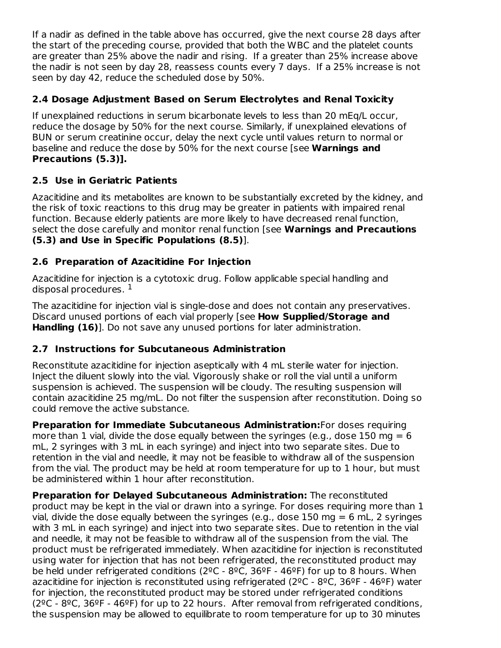If a nadir as defined in the table above has occurred, give the next course 28 days after the start of the preceding course, provided that both the WBC and the platelet counts are greater than 25% above the nadir and rising. If a greater than 25% increase above the nadir is not seen by day 28, reassess counts every 7 days. If a 25% increase is not seen by day 42, reduce the scheduled dose by 50%.

# **2.4 Dosage Adjustment Based on Serum Electrolytes and Renal Toxicity**

If unexplained reductions in serum bicarbonate levels to less than 20 mEq/L occur, reduce the dosage by 50% for the next course. Similarly, if unexplained elevations of BUN or serum creatinine occur, delay the next cycle until values return to normal or baseline and reduce the dose by 50% for the next course [see **Warnings and Precautions (5.3)].**

## **2.5 Use in Geriatric Patients**

Azacitidine and its metabolites are known to be substantially excreted by the kidney, and the risk of toxic reactions to this drug may be greater in patients with impaired renal function. Because elderly patients are more likely to have decreased renal function, select the dose carefully and monitor renal function [see **Warnings and Precautions (5.3) and Use in Specific Populations (8.5)**].

## **2.6 Preparation of Azacitidine For Injection**

Azacitidine for injection is a cytotoxic drug. Follow applicable special handling and disposal procedures.  $^{\rm 1}$ 

The azacitidine for injection vial is single-dose and does not contain any preservatives. Discard unused portions of each vial properly [see **How Supplied/Storage and Handling (16)**]. Do not save any unused portions for later administration.

## **2.7 Instructions for Subcutaneous Administration**

Reconstitute azacitidine for injection aseptically with 4 mL sterile water for injection. Inject the diluent slowly into the vial. Vigorously shake or roll the vial until a uniform suspension is achieved. The suspension will be cloudy. The resulting suspension will contain azacitidine 25 mg/mL. Do not filter the suspension after reconstitution. Doing so could remove the active substance.

**Preparation for Immediate Subcutaneous Administration:**For doses requiring more than 1 vial, divide the dose equally between the syringes (e.g., dose 150 mg  $= 6$ ) mL, 2 syringes with 3 mL in each syringe) and inject into two separate sites. Due to retention in the vial and needle, it may not be feasible to withdraw all of the suspension from the vial. The product may be held at room temperature for up to 1 hour, but must be administered within 1 hour after reconstitution.

**Preparation for Delayed Subcutaneous Administration:** The reconstituted product may be kept in the vial or drawn into a syringe. For doses requiring more than 1 vial, divide the dose equally between the syringes (e.g., dose 150 mg  $= 6$  mL, 2 syringes with 3 mL in each syringe) and inject into two separate sites. Due to retention in the vial and needle, it may not be feasible to withdraw all of the suspension from the vial. The product must be refrigerated immediately. When azacitidine for injection is reconstituted using water for injection that has not been refrigerated, the reconstituted product may be held under refrigerated conditions ( $2^{\circ}$ C -  $8^{\circ}$ C,  $36^{\circ}$ F -  $46^{\circ}$ F) for up to 8 hours. When azacitidine for injection is reconstituted using refrigerated ( $2^{\circ}$ C -  $8^{\circ}$ C,  $36^{\circ}$ F -  $46^{\circ}$ F) water for injection, the reconstituted product may be stored under refrigerated conditions ( $2^{\circ}$ C -  $8^{\circ}$ C,  $36^{\circ}$ F -  $46^{\circ}$ F) for up to 22 hours. After removal from refrigerated conditions, the suspension may be allowed to equilibrate to room temperature for up to 30 minutes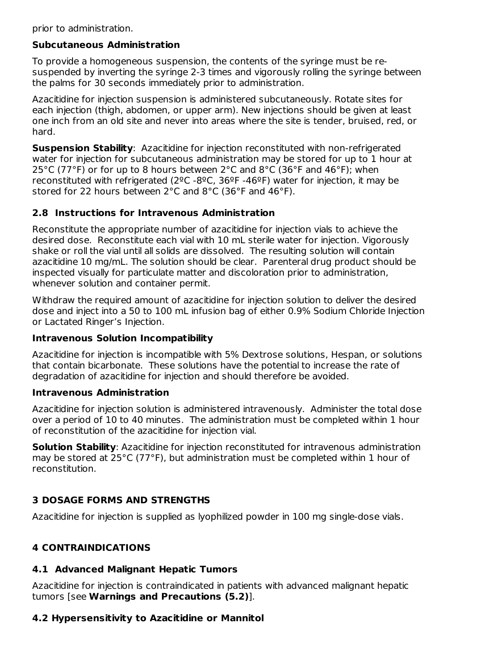prior to administration.

## **Subcutaneous Administration**

To provide a homogeneous suspension, the contents of the syringe must be resuspended by inverting the syringe 2-3 times and vigorously rolling the syringe between the palms for 30 seconds immediately prior to administration.

Azacitidine for injection suspension is administered subcutaneously. Rotate sites for each injection (thigh, abdomen, or upper arm). New injections should be given at least one inch from an old site and never into areas where the site is tender, bruised, red, or hard.

**Suspension Stability**: Azacitidine for injection reconstituted with non-refrigerated water for injection for subcutaneous administration may be stored for up to 1 hour at 25°C (77°F) or for up to 8 hours between 2°C and 8°C (36°F and 46°F); when reconstituted with refrigerated ( $2^{\circ}C$  -8 $^{\circ}C$ , 36 $^{\circ}F$  -46 $^{\circ}F$ ) water for injection, it may be stored for 22 hours between 2°C and 8°C (36°F and 46°F).

## **2.8 Instructions for Intravenous Administration**

Reconstitute the appropriate number of azacitidine for injection vials to achieve the desired dose. Reconstitute each vial with 10 mL sterile water for injection. Vigorously shake or roll the vial until all solids are dissolved. The resulting solution will contain azacitidine 10 mg/mL. The solution should be clear. Parenteral drug product should be inspected visually for particulate matter and discoloration prior to administration, whenever solution and container permit.

Withdraw the required amount of azacitidine for injection solution to deliver the desired dose and inject into a 50 to 100 mL infusion bag of either 0.9% Sodium Chloride Injection or Lactated Ringer's Injection.

## **Intravenous Solution Incompatibility**

Azacitidine for injection is incompatible with 5% Dextrose solutions, Hespan, or solutions that contain bicarbonate. These solutions have the potential to increase the rate of degradation of azacitidine for injection and should therefore be avoided.

## **Intravenous Administration**

Azacitidine for injection solution is administered intravenously. Administer the total dose over a period of 10 to 40 minutes. The administration must be completed within 1 hour of reconstitution of the azacitidine for injection vial.

**Solution Stability**: Azacitidine for injection reconstituted for intravenous administration may be stored at 25°C (77°F), but administration must be completed within 1 hour of reconstitution.

## **3 DOSAGE FORMS AND STRENGTHS**

Azacitidine for injection is supplied as lyophilized powder in 100 mg single-dose vials.

## **4 CONTRAINDICATIONS**

## **4.1 Advanced Malignant Hepatic Tumors**

Azacitidine for injection is contraindicated in patients with advanced malignant hepatic tumors [see **Warnings and Precautions (5.2)**].

## **4.2 Hypersensitivity to Azacitidine or Mannitol**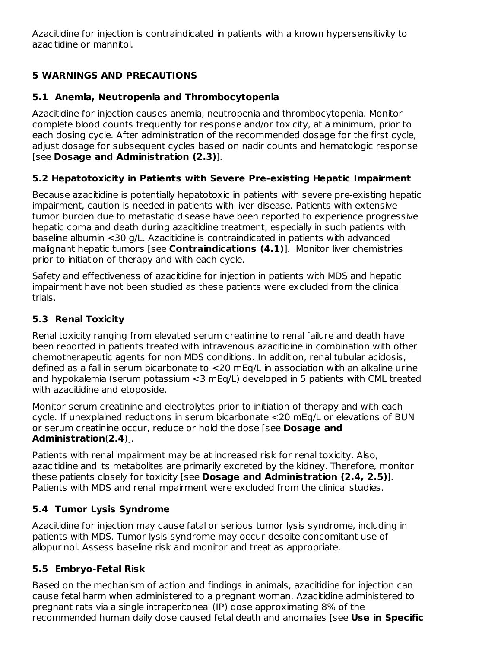Azacitidine for injection is contraindicated in patients with a known hypersensitivity to azacitidine or mannitol.

# **5 WARNINGS AND PRECAUTIONS**

# **5.1 Anemia, Neutropenia and Thrombocytopenia**

Azacitidine for injection causes anemia, neutropenia and thrombocytopenia. Monitor complete blood counts frequently for response and/or toxicity, at a minimum, prior to each dosing cycle. After administration of the recommended dosage for the first cycle, adjust dosage for subsequent cycles based on nadir counts and hematologic response [see **Dosage and Administration (2.3)**].

# **5.2 Hepatotoxicity in Patients with Severe Pre-existing Hepatic Impairment**

Because azacitidine is potentially hepatotoxic in patients with severe pre-existing hepatic impairment, caution is needed in patients with liver disease. Patients with extensive tumor burden due to metastatic disease have been reported to experience progressive hepatic coma and death during azacitidine treatment, especially in such patients with baseline albumin <30 g/L. Azacitidine is contraindicated in patients with advanced malignant hepatic tumors [see **Contraindications (4.1)**]. Monitor liver chemistries prior to initiation of therapy and with each cycle.

Safety and effectiveness of azacitidine for injection in patients with MDS and hepatic impairment have not been studied as these patients were excluded from the clinical trials.

# **5.3 Renal Toxicity**

Renal toxicity ranging from elevated serum creatinine to renal failure and death have been reported in patients treated with intravenous azacitidine in combination with other chemotherapeutic agents for non MDS conditions. In addition, renal tubular acidosis, defined as a fall in serum bicarbonate to <20 mEq/L in association with an alkaline urine and hypokalemia (serum potassium <3 mEq/L) developed in 5 patients with CML treated with azacitidine and etoposide.

Monitor serum creatinine and electrolytes prior to initiation of therapy and with each cycle. If unexplained reductions in serum bicarbonate <20 mEq/L or elevations of BUN or serum creatinine occur, reduce or hold the dose [see **Dosage and Administration**(**2.4**)].

Patients with renal impairment may be at increased risk for renal toxicity. Also, azacitidine and its metabolites are primarily excreted by the kidney. Therefore, monitor these patients closely for toxicity [see **Dosage and Administration (2.4, 2.5)**]. Patients with MDS and renal impairment were excluded from the clinical studies.

# **5.4 Tumor Lysis Syndrome**

Azacitidine for injection may cause fatal or serious tumor lysis syndrome, including in patients with MDS. Tumor lysis syndrome may occur despite concomitant use of allopurinol. Assess baseline risk and monitor and treat as appropriate.

# **5.5 Embryo-Fetal Risk**

Based on the mechanism of action and findings in animals, azacitidine for injection can cause fetal harm when administered to a pregnant woman. Azacitidine administered to pregnant rats via a single intraperitoneal (IP) dose approximating 8% of the recommended human daily dose caused fetal death and anomalies [see **Use in Specific**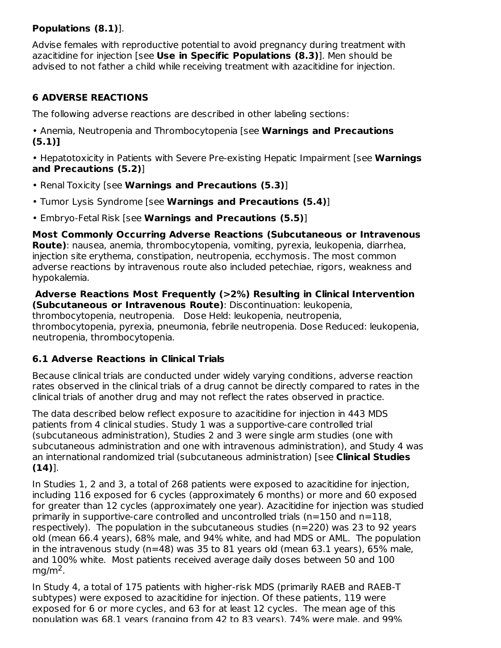# **Populations (8.1)**].

Advise females with reproductive potential to avoid pregnancy during treatment with azacitidine for injection [see **Use in Specific Populations (8.3)**]. Men should be advised to not father a child while receiving treatment with azacitidine for injection.

# **6 ADVERSE REACTIONS**

The following adverse reactions are described in other labeling sections:

• Anemia, Neutropenia and Thrombocytopenia [see **Warnings and Precautions (5.1)]**

• Hepatotoxicity in Patients with Severe Pre-existing Hepatic Impairment [see **Warnings and Precautions (5.2)**]

- Renal Toxicity [see **Warnings and Precautions (5.3)**]
- Tumor Lysis Syndrome [see **Warnings and Precautions (5.4)**]
- Embryo-Fetal Risk [see **Warnings and Precautions (5.5)**]

**Most Commonly Occurring Adverse Reactions (Subcutaneous or Intravenous Route)**: nausea, anemia, thrombocytopenia, vomiting, pyrexia, leukopenia, diarrhea, injection site erythema, constipation, neutropenia, ecchymosis. The most common adverse reactions by intravenous route also included petechiae, rigors, weakness and hypokalemia.

**Adverse Reactions Most Frequently (>2%) Resulting in Clinical Intervention (Subcutaneous or Intravenous Route)**: Discontinuation: leukopenia, thrombocytopenia, neutropenia. Dose Held: leukopenia, neutropenia, thrombocytopenia, pyrexia, pneumonia, febrile neutropenia. Dose Reduced: leukopenia, neutropenia, thrombocytopenia.

# **6.1 Adverse Reactions in Clinical Trials**

Because clinical trials are conducted under widely varying conditions, adverse reaction rates observed in the clinical trials of a drug cannot be directly compared to rates in the clinical trials of another drug and may not reflect the rates observed in practice.

The data described below reflect exposure to azacitidine for injection in 443 MDS patients from 4 clinical studies. Study 1 was a supportive-care controlled trial (subcutaneous administration), Studies 2 and 3 were single arm studies (one with subcutaneous administration and one with intravenous administration), and Study 4 was an international randomized trial (subcutaneous administration) [see **Clinical Studies (14)**].

In Studies 1, 2 and 3, a total of 268 patients were exposed to azacitidine for injection, including 116 exposed for 6 cycles (approximately 6 months) or more and 60 exposed for greater than 12 cycles (approximately one year). Azacitidine for injection was studied primarily in supportive-care controlled and uncontrolled trials ( $n=150$  and  $n=118$ , respectively). The population in the subcutaneous studies (n=220) was 23 to 92 years old (mean 66.4 years), 68% male, and 94% white, and had MDS or AML. The population in the intravenous study ( $n=48$ ) was 35 to 81 years old (mean 63.1 years), 65% male, and 100% white. Most patients received average daily doses between 50 and 100  $mg/m<sup>2</sup>$ .

In Study 4, a total of 175 patients with higher-risk MDS (primarily RAEB and RAEB-T subtypes) were exposed to azacitidine for injection. Of these patients, 119 were exposed for 6 or more cycles, and 63 for at least 12 cycles. The mean age of this population was 68.1 years (ranging from 42 to 83 years), 74% were male, and 99%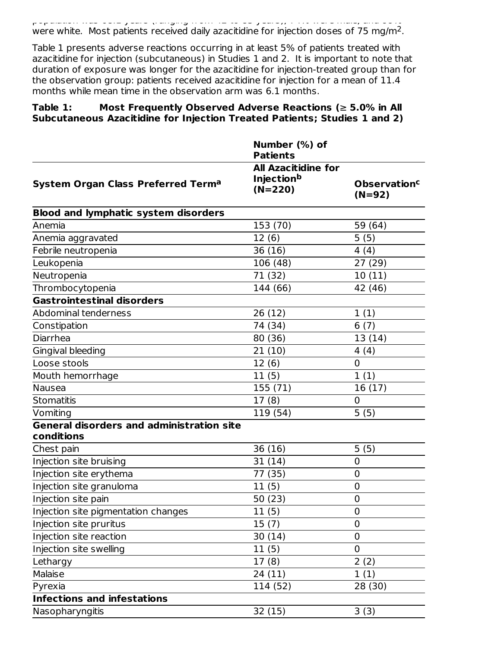population was 68.1 years (ranging from 42 to 83 years), 74% were male, and 99% were white. Most patients received daily azacitidine for injection doses of 75 mg/m<sup>2</sup>.

Table 1 presents adverse reactions occurring in at least 5% of patients treated with azacitidine for injection (subcutaneous) in Studies 1 and 2. It is important to note that duration of exposure was longer for the azacitidine for injection-treated group than for the observation group: patients received azacitidine for injection for a mean of 11.4 months while mean time in the observation arm was 6.1 months.

### **Table 1: Most Frequently Observed Adverse Reactions (**≥ **5.0% in All Subcutaneous Azacitidine for Injection Treated Patients; Studies 1 and 2)**

|                                                                | Number (%) of<br><b>Patients</b>                             |                                            |
|----------------------------------------------------------------|--------------------------------------------------------------|--------------------------------------------|
| System Organ Class Preferred Term <sup>a</sup>                 | <b>All Azacitidine for</b><br><b>Injectionb</b><br>$(N=220)$ | <b>Observation<sup>c</sup></b><br>$(N=92)$ |
| <b>Blood and lymphatic system disorders</b>                    |                                                              |                                            |
| Anemia                                                         | 153 (70)                                                     | 59 (64)                                    |
| Anemia aggravated                                              | 12(6)                                                        | 5(5)                                       |
| Febrile neutropenia                                            | 36 (16)                                                      | 4(4)                                       |
| Leukopenia                                                     | 106 (48)                                                     | 27 (29)                                    |
| Neutropenia                                                    | 71 (32)                                                      | 10(11)                                     |
| Thrombocytopenia                                               | 144 (66)                                                     | 42 (46)                                    |
| Gastrointestinal disorders                                     |                                                              |                                            |
| Abdominal tenderness                                           | 26(12)                                                       | 1(1)                                       |
| Constipation                                                   | 74 (34)                                                      | 6(7)                                       |
| Diarrhea                                                       | 80 (36)                                                      | 13 (14)                                    |
| Gingival bleeding                                              | 21(10)                                                       | 4(4)                                       |
| Loose stools                                                   | 12(6)                                                        | $\mathbf 0$                                |
| Mouth hemorrhage                                               | 11(5)                                                        | 1(1)                                       |
| Nausea                                                         | 155 (71)                                                     | 16(17)                                     |
| <b>Stomatitis</b>                                              | 17(8)                                                        | 0                                          |
| Vomiting                                                       | 119 (54)                                                     | 5(5)                                       |
| <b>General disorders and administration site</b><br>conditions |                                                              |                                            |
| Chest pain                                                     | 36(16)                                                       | 5(5)                                       |
| Injection site bruising                                        | 31(14)                                                       | $\mathbf 0$                                |
| Injection site erythema                                        | 77 (35)                                                      | 0                                          |
| Injection site granuloma                                       | 11(5)                                                        | $\mathbf 0$                                |
| Injection site pain                                            | 50 (23)                                                      | $\mathbf 0$                                |
| Injection site pigmentation changes                            | 11(5)                                                        | 0                                          |
| Injection site pruritus                                        | 15(7)                                                        | $\overline{0}$                             |
| Injection site reaction                                        | 30(14)                                                       | 0                                          |
| Injection site swelling                                        | 11(5)                                                        | 0                                          |
| Lethargy                                                       | 17(8)                                                        | 2(2)                                       |
| Malaise                                                        | 24 (11)                                                      | 1(1)                                       |
| Pyrexia                                                        | 114 (52)                                                     | 28 (30)                                    |
| <b>Infections and infestations</b>                             |                                                              |                                            |
| Nasopharyngitis                                                | 32 (15)                                                      | 3(3)                                       |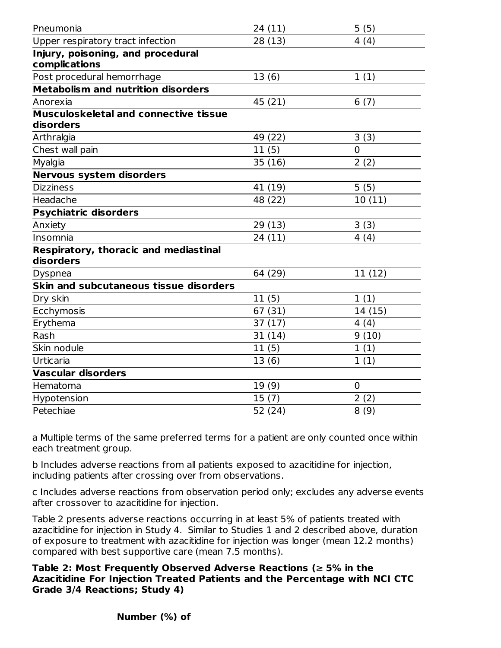| Pneumonia                                                 | 24(11)  | 5(5)    |
|-----------------------------------------------------------|---------|---------|
| Upper respiratory tract infection                         | 28(13)  | 4(4)    |
| Injury, poisoning, and procedural<br>complications        |         |         |
| Post procedural hemorrhage                                | 13(6)   | 1(1)    |
| <b>Metabolism and nutrition disorders</b>                 |         |         |
| Anorexia                                                  | 45 (21) | 6(7)    |
| <b>Musculoskeletal and connective tissue</b><br>disorders |         |         |
| Arthralgia                                                | 49 (22) | 3(3)    |
| Chest wall pain                                           | 11(5)   | 0       |
| Myalgia                                                   | 35(16)  | 2(2)    |
| <b>Nervous system disorders</b>                           |         |         |
| <b>Dizziness</b>                                          | 41 (19) | 5(5)    |
| Headache                                                  | 48 (22) | 10(11)  |
| <b>Psychiatric disorders</b>                              |         |         |
| Anxiety                                                   | 29(13)  | 3(3)    |
| Insomnia                                                  | 24 (11) | 4(4)    |
| <b>Respiratory, thoracic and mediastinal</b><br>disorders |         |         |
| <b>Dyspnea</b>                                            | 64 (29) | 11(12)  |
| Skin and subcutaneous tissue disorders                    |         |         |
| Dry skin                                                  | 11(5)   | 1(1)    |
| Ecchymosis                                                | 67 (31) | 14 (15) |
| Erythema                                                  | 37(17)  | 4(4)    |
| Rash                                                      | 31(14)  | 9(10)   |
| Skin nodule                                               | 11(5)   | 1(1)    |
| Urticaria                                                 | 13(6)   | 1(1)    |
| <b>Vascular disorders</b>                                 |         |         |
| Hematoma                                                  | 19(9)   | 0       |
| Hypotension                                               | 15(7)   | 2(2)    |
| Petechiae                                                 | 52 (24) | 8(9)    |

a Multiple terms of the same preferred terms for a patient are only counted once within each treatment group.

b Includes adverse reactions from all patients exposed to azacitidine for injection, including patients after crossing over from observations.

c Includes adverse reactions from observation period only; excludes any adverse events after crossover to azacitidine for injection.

Table 2 presents adverse reactions occurring in at least 5% of patients treated with azacitidine for injection in Study 4. Similar to Studies 1 and 2 described above, duration of exposure to treatment with azacitidine for injection was longer (mean 12.2 months) compared with best supportive care (mean 7.5 months).

**Table 2: Most Frequently Observed Adverse Reactions (**≥ **5% in the Azacitidine For Injection Treated Patients and the Percentage with NCI CTC Grade 3/4 Reactions; Study 4)**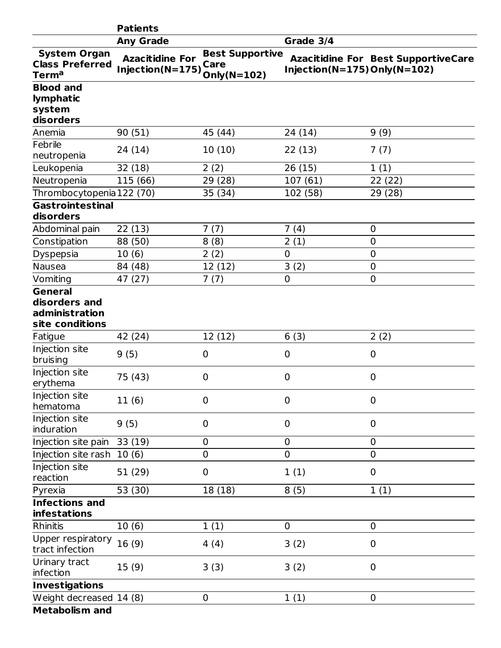|                                                                      | <b>Patients</b>                            |                                               |                                      |                                            |
|----------------------------------------------------------------------|--------------------------------------------|-----------------------------------------------|--------------------------------------|--------------------------------------------|
|                                                                      | <b>Any Grade</b>                           |                                               | Grade 3/4                            |                                            |
| <b>System Organ</b><br><b>Class Preferred</b><br>Term <sup>a</sup>   | <b>Azacitidine For</b><br>Injection(N=175) | <b>Best Supportive</b><br>Care<br>Only(N=102) | Injection( $N=175$ ) Only( $N=102$ ) | <b>Azacitidine For Best SupportiveCare</b> |
| <b>Blood and</b><br>lymphatic<br>system                              |                                            |                                               |                                      |                                            |
| disorders                                                            |                                            |                                               |                                      |                                            |
| Anemia                                                               | 90 (51)                                    | 45 (44)                                       | 24 (14)                              | 9(9)                                       |
| Febrile<br>neutropenia                                               | 24 (14)                                    | 10(10)                                        | 22(13)                               | 7(7)                                       |
| Leukopenia                                                           | 32(18)                                     | 2(2)                                          | 26(15)                               | 1(1)                                       |
| Neutropenia                                                          | 115 (66)                                   | 29 (28)                                       | 107(61)                              | 22 (22)                                    |
| Thrombocytopenia 122 (70)                                            |                                            | 35 (34)                                       | 102 (58)                             | 29 (28)                                    |
| <b>Gastrointestinal</b><br>disorders                                 |                                            |                                               |                                      |                                            |
| Abdominal pain                                                       | 22(13)                                     | 7(7)                                          | 7(4)                                 | $\mathbf 0$                                |
| Constipation                                                         | 88 (50)                                    | 8(8)                                          | 2(1)                                 | $\mathbf 0$                                |
| Dyspepsia                                                            | 10(6)                                      | 2(2)                                          | $\overline{0}$                       | 0                                          |
| <b>Nausea</b>                                                        | 84 (48)                                    | 12 (12)                                       | 3(2)                                 | 0                                          |
| Vomiting                                                             | 47 (27)                                    | 7(7)                                          | $\mathbf 0$                          | $\overline{0}$                             |
| <b>General</b><br>disorders and<br>administration<br>site conditions |                                            |                                               |                                      |                                            |
| Fatigue                                                              | 42 (24)                                    | 12 (12)                                       | 6(3)                                 | 2(2)                                       |
| Injection site<br>bruising                                           | 9(5)                                       | 0                                             | $\mathbf 0$                          | $\mathbf 0$                                |
| Injection site<br>erythema                                           | 75 (43)                                    | 0                                             | $\mathbf 0$                          | $\mathbf 0$                                |
| Injection site<br>hematoma                                           | 11(6)                                      | 0                                             | $\mathbf 0$                          | $\mathbf 0$                                |
| Injection site<br>induration                                         | 9(5)                                       | 0                                             | $\mathbf 0$                          | $\mathbf 0$                                |
| Injection site pain                                                  | 33(19)                                     | 0                                             | $\mathbf 0$                          | $\mathbf 0$                                |
| Injection site rash                                                  | 10(6)                                      | 0                                             | $\overline{0}$                       | 0                                          |
| Injection site<br>reaction                                           | 51 (29)                                    | 0                                             | 1(1)                                 | $\mathbf 0$                                |
| Pyrexia                                                              | 53 (30)                                    | 18 (18)                                       | 8(5)                                 | 1(1)                                       |
| <b>Infections and</b><br><b>infestations</b>                         |                                            |                                               |                                      |                                            |
| <b>Rhinitis</b>                                                      | 10(6)                                      | 1(1)                                          | $\mathbf 0$                          | $\mathbf 0$                                |
| Upper respiratory<br>tract infection                                 | 16(9)                                      | 4(4)                                          | 3(2)                                 | $\mathbf 0$                                |
| Urinary tract<br>infection                                           | 15(9)                                      | 3(3)                                          | 3(2)                                 | $\mathbf 0$                                |
| <b>Investigations</b>                                                |                                            |                                               |                                      |                                            |
| Weight decreased 14 (8)                                              |                                            | 0                                             | 1(1)                                 | $\mathbf 0$                                |
| <b>Metabolism and</b>                                                |                                            |                                               |                                      |                                            |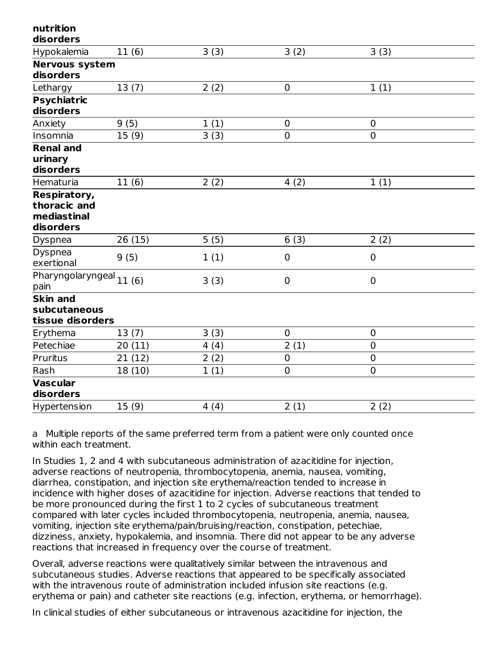| nutrition<br>disorders       |         |      |                |                |
|------------------------------|---------|------|----------------|----------------|
| Hypokalemia                  | 11(6)   | 3(3) | 3(2)           | 3(3)           |
| <b>Nervous system</b>        |         |      |                |                |
| disorders                    |         |      |                |                |
| Lethargy                     | 13(7)   | 2(2) | $\mathbf 0$    | 1(1)           |
| <b>Psychiatric</b>           |         |      |                |                |
| disorders                    |         |      |                |                |
| Anxiety                      | 9(5)    | 1(1) | $\mathbf 0$    | $\mathbf 0$    |
| Insomnia                     | 15(9)   | 3(3) | $\overline{0}$ | $\overline{0}$ |
| <b>Renal and</b>             |         |      |                |                |
| urinary                      |         |      |                |                |
| disorders                    |         |      |                |                |
| Hematuria                    | 11(6)   | 2(2) | 4(2)           | 1(1)           |
| Respiratory,                 |         |      |                |                |
| thoracic and                 |         |      |                |                |
| mediastinal                  |         |      |                |                |
| disorders                    |         |      |                |                |
| Dyspnea                      | 26(15)  | 5(5) | 6(3)           | 2(2)           |
| Dyspnea<br>exertional        | 9(5)    | 1(1) | 0              | $\overline{0}$ |
| Pharyngolaryngeal<br>pain    | 11(6)   | 3(3) | $\pmb{0}$      | $\mathbf 0$    |
| <b>Skin and</b>              |         |      |                |                |
| subcutaneous                 |         |      |                |                |
| tissue disorders             |         |      |                |                |
| Erythema                     | 13(7)   | 3(3) | $\mathbf 0$    | $\mathbf 0$    |
| Petechiae                    | 20(11)  | 4(4) | 2(1)           | $\overline{0}$ |
| Pruritus                     | 21(12)  | 2(2) | $\mathbf 0$    | $\mathbf 0$    |
| Rash                         | 18 (10) | 1(1) | $\overline{0}$ | $\overline{0}$ |
| <b>Vascular</b><br>disorders |         |      |                |                |
| Hypertension                 | 15(9)   | 4(4) | 2(1)           | 2(2)           |

a Multiple reports of the same preferred term from a patient were only counted once within each treatment.

In Studies 1, 2 and 4 with subcutaneous administration of azacitidine for injection, adverse reactions of neutropenia, thrombocytopenia, anemia, nausea, vomiting, diarrhea, constipation, and injection site erythema/reaction tended to increase in incidence with higher doses of azacitidine for injection. Adverse reactions that tended to be more pronounced during the first 1 to 2 cycles of subcutaneous treatment compared with later cycles included thrombocytopenia, neutropenia, anemia, nausea, vomiting, injection site erythema/pain/bruising/reaction, constipation, petechiae, dizziness, anxiety, hypokalemia, and insomnia. There did not appear to be any adverse reactions that increased in frequency over the course of treatment.

Overall, adverse reactions were qualitatively similar between the intravenous and subcutaneous studies. Adverse reactions that appeared to be specifically associated with the intravenous route of administration included infusion site reactions (e.g. erythema or pain) and catheter site reactions (e.g. infection, erythema, or hemorrhage).

In clinical studies of either subcutaneous or intravenous azacitidine for injection, the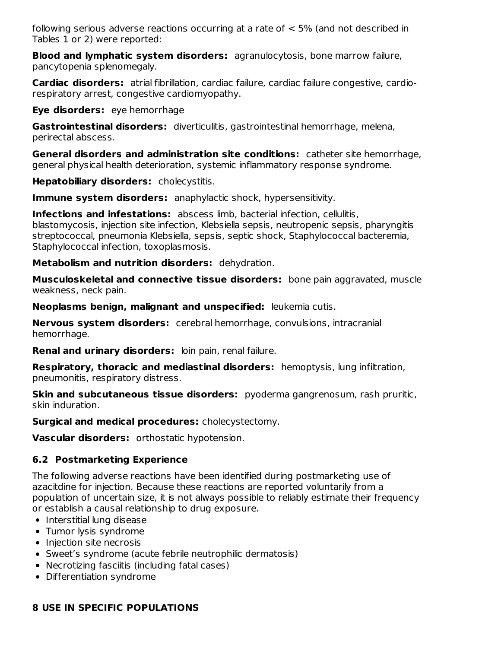following serious adverse reactions occurring at a rate of  $<$  5% (and not described in Tables 1 or 2) were reported:

**Blood and lymphatic system disorders:** agranulocytosis, bone marrow failure, pancytopenia splenomegaly.

**Cardiac disorders:** atrial fibrillation, cardiac failure, cardiac failure congestive, cardiorespiratory arrest, congestive cardiomyopathy.

**Eye disorders:** eye hemorrhage

**Gastrointestinal disorders:** diverticulitis, gastrointestinal hemorrhage, melena, perirectal abscess.

**General disorders and administration site conditions:** catheter site hemorrhage, general physical health deterioration, systemic inflammatory response syndrome.

**Hepatobiliary disorders:** cholecystitis.

**Immune system disorders:** anaphylactic shock, hypersensitivity.

**Infections and infestations:** abscess limb, bacterial infection, cellulitis, blastomycosis, injection site infection, Klebsiella sepsis, neutropenic sepsis, pharyngitis streptococcal, pneumonia Klebsiella, sepsis, septic shock, Staphylococcal bacteremia, Staphylococcal infection, toxoplasmosis.

**Metabolism and nutrition disorders:** dehydration.

**Musculoskeletal and connective tissue disorders:** bone pain aggravated, muscle weakness, neck pain.

**Neoplasms benign, malignant and unspecified:** leukemia cutis.

**Nervous system disorders:** cerebral hemorrhage, convulsions, intracranial hemorrhage.

**Renal and urinary disorders:** loin pain, renal failure.

**Respiratory, thoracic and mediastinal disorders:** hemoptysis, lung infiltration, pneumonitis, respiratory distress.

**Skin and subcutaneous tissue disorders:** pyoderma gangrenosum, rash pruritic, skin induration.

**Surgical and medical procedures:** cholecystectomy.

**Vascular disorders:** orthostatic hypotension.

## **6.2 Postmarketing Experience**

The following adverse reactions have been identified during postmarketing use of azacitdine for injection. Because these reactions are reported voluntarily from a population of uncertain size, it is not always possible to reliably estimate their frequency or establish a causal relationship to drug exposure.

- Interstitial lung disease
- Tumor lysis syndrome
- Injection site necrosis
- Sweet's syndrome (acute febrile neutrophilic dermatosis)
- Necrotizing fasciitis (including fatal cases)
- Differentiation syndrome

## **8 USE IN SPECIFIC POPULATIONS**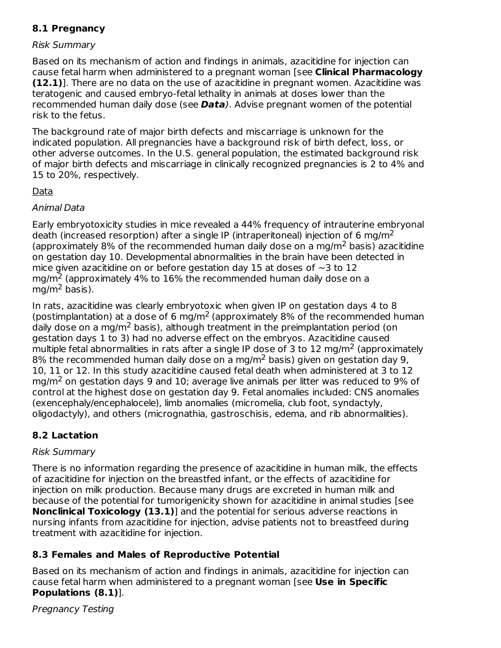# **8.1 Pregnancy**

### Risk Summary

Based on its mechanism of action and findings in animals, azacitidine for injection can cause fetal harm when administered to a pregnant woman [see **Clinical Pharmacology (12.1)**]. There are no data on the use of azacitidine in pregnant women. Azacitidine was teratogenic and caused embryo-fetal lethality in animals at doses lower than the recommended human daily dose (see **Data**). Advise pregnant women of the potential risk to the fetus.

The background rate of major birth defects and miscarriage is unknown for the indicated population. All pregnancies have a background risk of birth defect, loss, or other adverse outcomes. In the U.S. general population, the estimated background risk of major birth defects and miscarriage in clinically recognized pregnancies is 2 to 4% and 15 to 20%, respectively.

### Data

## Animal Data

Early embryotoxicity studies in mice revealed a 44% frequency of intrauterine embryonal death (increased resorption) after a single IP (intraperitoneal) injection of 6 mg/m<sup>2</sup> (approximately 8% of the recommended human daily dose on a mg/m<sup>2</sup> basis) azacitidine on gestation day 10. Developmental abnormalities in the brain have been detected in mice given azacitidine on or before gestation day 15 at doses of  $\sim$ 3 to 12 mg/m<sup>2</sup> (approximately 4% to 16% the recommended human daily dose on a mg/m<sup>2</sup> basis).

In rats, azacitidine was clearly embryotoxic when given IP on gestation days 4 to 8 (postimplantation) at a dose of 6 mg/m<sup>2</sup> (approximately 8% of the recommended human daily dose on a mg/m<sup>2</sup> basis), although treatment in the preimplantation period (on gestation days 1 to 3) had no adverse effect on the embryos. Azacitidine caused multiple fetal abnormalities in rats after a single IP dose of 3 to 12 mg/m<sup>2</sup> (approximately 8% the recommended human daily dose on a mg/m<sup>2</sup> basis) given on gestation day 9, 10, 11 or 12. In this study azacitidine caused fetal death when administered at 3 to 12 mg/m<sup>2</sup> on gestation days 9 and 10; average live animals per litter was reduced to 9% of control at the highest dose on gestation day 9. Fetal anomalies included: CNS anomalies (exencephaly/encephalocele), limb anomalies (micromelia, club foot, syndactyly, oligodactyly), and others (micrognathia, gastroschisis, edema, and rib abnormalities).

## **8.2 Lactation**

## Risk Summary

There is no information regarding the presence of azacitidine in human milk, the effects of azacitidine for injection on the breastfed infant, or the effects of azacitidine for injection on milk production. Because many drugs are excreted in human milk and because of the potential for tumorigenicity shown for azacitidine in animal studies [see **Nonclinical Toxicology (13.1)**] and the potential for serious adverse reactions in nursing infants from azacitidine for injection, advise patients not to breastfeed during treatment with azacitidine for injection.

## **8.3 Females and Males of Reproductive Potential**

Based on its mechanism of action and findings in animals, azacitidine for injection can cause fetal harm when administered to a pregnant woman [see **Use in Specific Populations (8.1)**].

Pregnancy Testing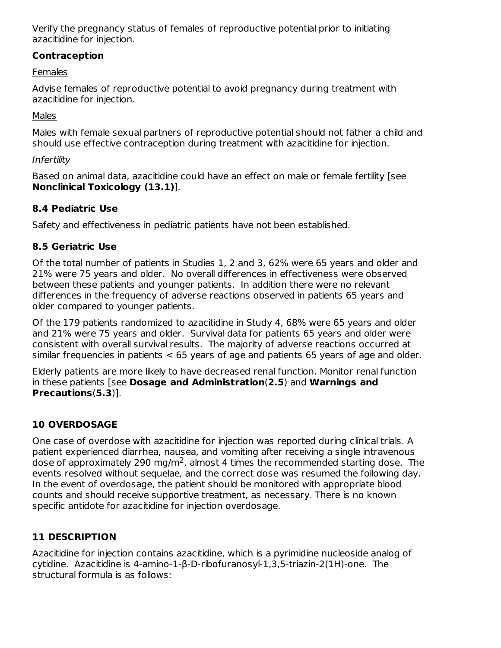Verify the pregnancy status of females of reproductive potential prior to initiating azacitidine for injection.

## **Contraception**

## **Females**

Advise females of reproductive potential to avoid pregnancy during treatment with azacitidine for injection.

## Males

Males with female sexual partners of reproductive potential should not father a child and should use effective contraception during treatment with azacitidine for injection.

## Infertility

Based on animal data, azacitidine could have an effect on male or female fertility [see **Nonclinical Toxicology (13.1)**].

## **8.4 Pediatric Use**

Safety and effectiveness in pediatric patients have not been established.

## **8.5 Geriatric Use**

Of the total number of patients in Studies 1, 2 and 3, 62% were 65 years and older and 21% were 75 years and older. No overall differences in effectiveness were observed between these patients and younger patients. In addition there were no relevant differences in the frequency of adverse reactions observed in patients 65 years and older compared to younger patients.

Of the 179 patients randomized to azacitidine in Study 4, 68% were 65 years and older and 21% were 75 years and older. Survival data for patients 65 years and older were consistent with overall survival results. The majority of adverse reactions occurred at similar frequencies in patients < 65 years of age and patients 65 years of age and older.

Elderly patients are more likely to have decreased renal function. Monitor renal function in these patients [see **Dosage and Administration**(**2.5**) and **Warnings and Precautions**(**5.3**)].

## **10 OVERDOSAGE**

One case of overdose with azacitidine for injection was reported during clinical trials. A patient experienced diarrhea, nausea, and vomiting after receiving a single intravenous dose of approximately 290 mg/m<sup>2</sup>, almost 4 times the recommended starting dose. The events resolved without sequelae, and the correct dose was resumed the following day. In the event of overdosage, the patient should be monitored with appropriate blood counts and should receive supportive treatment, as necessary. There is no known specific antidote for azacitidine for injection overdosage.

## **11 DESCRIPTION**

Azacitidine for injection contains azacitidine, which is a pyrimidine nucleoside analog of cytidine. Azacitidine is 4-amino-1-β-D-ribofuranosyl-1,3,5-triazin-2(1H)-one. The structural formula is as follows: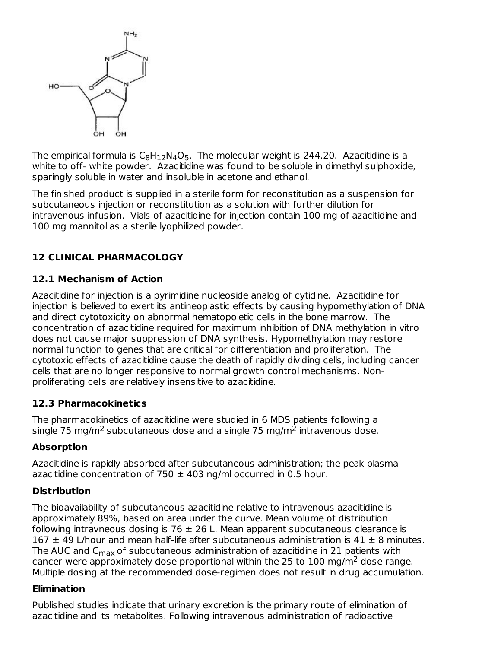

The empirical formula is  $\mathsf{C}_8\mathsf{H}_{12}\mathsf{N}_4\mathsf{O}_5.$  The molecular weight is 244.20. Azacitidine is a white to off- white powder. Azacitidine was found to be soluble in dimethyl sulphoxide, sparingly soluble in water and insoluble in acetone and ethanol.

The finished product is supplied in a sterile form for reconstitution as a suspension for subcutaneous injection or reconstitution as a solution with further dilution for intravenous infusion. Vials of azacitidine for injection contain 100 mg of azacitidine and 100 mg mannitol as a sterile lyophilized powder.

# **12 CLINICAL PHARMACOLOGY**

## **12.1 Mechanism of Action**

Azacitidine for injection is a pyrimidine nucleoside analog of cytidine. Azacitidine for injection is believed to exert its antineoplastic effects by causing hypomethylation of DNA and direct cytotoxicity on abnormal hematopoietic cells in the bone marrow. The concentration of azacitidine required for maximum inhibition of DNA methylation in vitro does not cause major suppression of DNA synthesis. Hypomethylation may restore normal function to genes that are critical for differentiation and proliferation. The cytotoxic effects of azacitidine cause the death of rapidly dividing cells, including cancer cells that are no longer responsive to normal growth control mechanisms. Nonproliferating cells are relatively insensitive to azacitidine.

## **12.3 Pharmacokinetics**

The pharmacokinetics of azacitidine were studied in 6 MDS patients following a single 75 mg/m<sup>2</sup> subcutaneous dose and a single 75 mg/m<sup>2</sup> intravenous dose.

## **Absorption**

Azacitidine is rapidly absorbed after subcutaneous administration; the peak plasma azacitidine concentration of 750  $\pm$  403 ng/ml occurred in 0.5 hour.

## **Distribution**

The bioavailability of subcutaneous azacitidine relative to intravenous azacitidine is approximately 89%, based on area under the curve. Mean volume of distribution following intravneous dosing is 76  $\pm$  26 L. Mean apparent subcutaneous clearance is 167  $\pm$  49 L/hour and mean half-life after subcutaneous administration is 41  $\pm$  8 minutes. The AUC and C<sub>max</sub> of subcutaneous administration of azacitidine in 21 patients with cancer were approximately dose proportional within the 25 to 100 mg/m<sup>2</sup> dose range. Multiple dosing at the recommended dose-regimen does not result in drug accumulation.

## **Elimination**

Published studies indicate that urinary excretion is the primary route of elimination of azacitidine and its metabolites. Following intravenous administration of radioactive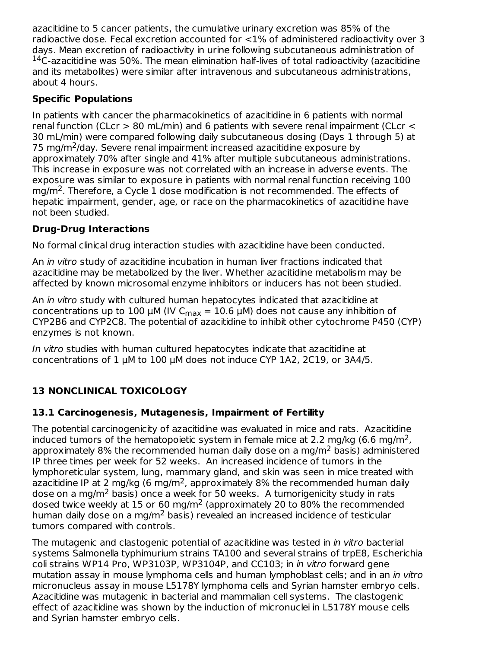azacitidine to 5 cancer patients, the cumulative urinary excretion was 85% of the radioactive dose. Fecal excretion accounted for <1% of administered radioactivity over 3 days. Mean excretion of radioactivity in urine following subcutaneous administration of  $14$ C-azacitidine was 50%. The mean elimination half-lives of total radioactivity (azacitidine and its metabolites) were similar after intravenous and subcutaneous administrations, about 4 hours.

# **Specific Populations**

In patients with cancer the pharmacokinetics of azacitidine in 6 patients with normal renal function (CLcr > 80 mL/min) and 6 patients with severe renal impairment (CLcr < 30 mL/min) were compared following daily subcutaneous dosing (Days 1 through 5) at 75 mg/m<sup>2</sup>/day. Severe renal impairment increased azacitidine exposure by approximately 70% after single and 41% after multiple subcutaneous administrations. This increase in exposure was not correlated with an increase in adverse events. The exposure was similar to exposure in patients with normal renal function receiving 100  $mg/m<sup>2</sup>$ . Therefore, a Cycle 1 dose modification is not recommended. The effects of hepatic impairment, gender, age, or race on the pharmacokinetics of azacitidine have not been studied.

# **Drug-Drug Interactions**

No formal clinical drug interaction studies with azacitidine have been conducted.

An *in vitro* study of azacitidine incubation in human liver fractions indicated that azacitidine may be metabolized by the liver. Whether azacitidine metabolism may be affected by known microsomal enzyme inhibitors or inducers has not been studied.

An in vitro study with cultured human hepatocytes indicated that azacitidine at concentrations up to 100 μM (IV C $_{\sf max}$  = 10.6 μM) does not cause any inhibition of CYP2B6 and CYP2C8. The potential of azacitidine to inhibit other cytochrome P450 (CYP) enzymes is not known.

In vitro studies with human cultured hepatocytes indicate that azacitidine at concentrations of 1 µM to 100 µM does not induce CYP 1A2, 2C19, or 3A4/5.

# **13 NONCLINICAL TOXICOLOGY**

## **13.1 Carcinogenesis, Mutagenesis, Impairment of Fertility**

The potential carcinogenicity of azacitidine was evaluated in mice and rats. Azacitidine induced tumors of the hematopoietic system in female mice at 2.2 mg/kg (6.6 mg/m<sup>2</sup>, approximately 8% the recommended human daily dose on a mg/m<sup>2</sup> basis) administered IP three times per week for 52 weeks. An increased incidence of tumors in the lymphoreticular system, lung, mammary gland, and skin was seen in mice treated with azacitidine IP at 2 mg/kg (6 mg/m<sup>2</sup>, approximately 8% the recommended human daily dose on a mg/m<sup>2</sup> basis) once a week for 50 weeks. A tumorigenicity study in rats dosed twice weekly at 15 or 60 mg/m<sup>2</sup> (approximately 20 to 80% the recommended human daily dose on a mg/m<sup>2</sup> basis) revealed an increased incidence of testicular tumors compared with controls.

The mutagenic and clastogenic potential of azacitidine was tested in *in vitro* bacterial systems Salmonella typhimurium strains TA100 and several strains of trpE8, Escherichia coli strains WP14 Pro, WP3103P, WP3104P, and CC103; in *in vitro* forward gene mutation assay in mouse lymphoma cells and human lymphoblast cells; and in an *in vitro* micronucleus assay in mouse L5178Y lymphoma cells and Syrian hamster embryo cells. Azacitidine was mutagenic in bacterial and mammalian cell systems. The clastogenic effect of azacitidine was shown by the induction of micronuclei in L5178Y mouse cells and Syrian hamster embryo cells.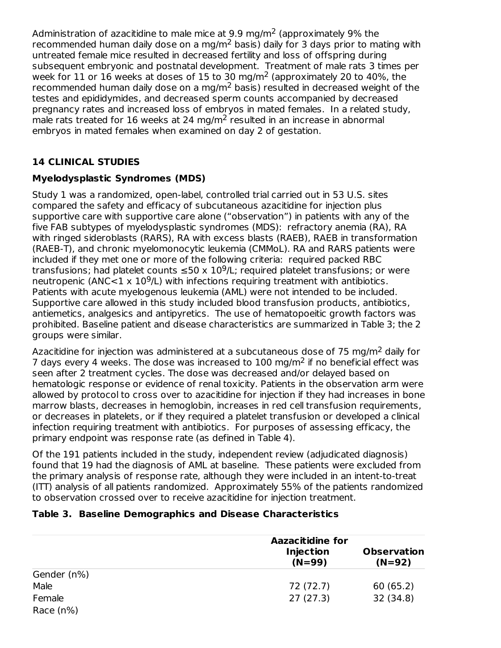Administration of azacitidine to male mice at 9.9 mg/m<sup>2</sup> (approximately 9% the recommended human daily dose on a mg/m<sup>2</sup> basis) daily for 3 days prior to mating with untreated female mice resulted in decreased fertility and loss of offspring during subsequent embryonic and postnatal development. Treatment of male rats 3 times per week for 11 or 16 weeks at doses of 15 to 30 mg/m<sup>2</sup> (approximately 20 to 40%, the recommended human daily dose on a mg/m<sup>2</sup> basis) resulted in decreased weight of the testes and epididymides, and decreased sperm counts accompanied by decreased pregnancy rates and increased loss of embryos in mated females. In a related study, male rats treated for 16 weeks at 24 mg/m<sup>2</sup> resulted in an increase in abnormal embryos in mated females when examined on day 2 of gestation.

# **14 CLINICAL STUDIES**

# **Myelodysplastic Syndromes (MDS)**

Study 1 was a randomized, open-label, controlled trial carried out in 53 U.S. sites compared the safety and efficacy of subcutaneous azacitidine for injection plus supportive care with supportive care alone ("observation") in patients with any of the five FAB subtypes of myelodysplastic syndromes (MDS): refractory anemia (RA), RA with ringed sideroblasts (RARS), RA with excess blasts (RAEB), RAEB in transformation (RAEB-T), and chronic myelomonocytic leukemia (CMMoL). RA and RARS patients were included if they met one or more of the following criteria: required packed RBC transfusions; had platelet counts  $\leq 50 \times 10^9$ /L; required platelet transfusions; or were neutropenic (ANC<1  $\times$  10<sup>9</sup>/L) with infections requiring treatment with antibiotics. Patients with acute myelogenous leukemia (AML) were not intended to be included. Supportive care allowed in this study included blood transfusion products, antibiotics, antiemetics, analgesics and antipyretics. The use of hematopoeitic growth factors was prohibited. Baseline patient and disease characteristics are summarized in Table 3; the 2 groups were similar.

Azacitidine for injection was administered at a subcutaneous dose of 75 mg/m<sup>2</sup> daily for 7 days every 4 weeks. The dose was increased to  $100 \text{ mg/m}^2$  if no beneficial effect was seen after 2 treatment cycles. The dose was decreased and/or delayed based on hematologic response or evidence of renal toxicity. Patients in the observation arm were allowed by protocol to cross over to azacitidine for injection if they had increases in bone marrow blasts, decreases in hemoglobin, increases in red cell transfusion requirements, or decreases in platelets, or if they required a platelet transfusion or developed a clinical infection requiring treatment with antibiotics. For purposes of assessing efficacy, the primary endpoint was response rate (as defined in Table 4).

Of the 191 patients included in the study, independent review (adjudicated diagnosis) found that 19 had the diagnosis of AML at baseline. These patients were excluded from the primary analysis of response rate, although they were included in an intent-to-treat (ITT) analysis of all patients randomized. Approximately 55% of the patients randomized to observation crossed over to receive azacitidine for injection treatment.

## **Table 3. Baseline Demographics and Disease Characteristics**

|              | <b>Aazacitidine for</b>      |                                |  |
|--------------|------------------------------|--------------------------------|--|
|              | <b>Injection</b><br>$(N=99)$ | <b>Observation</b><br>$(N=92)$ |  |
| Gender (n%)  |                              |                                |  |
| Male         | 72 (72.7)                    | 60(65.2)                       |  |
| Female       | 27(27.3)                     | 32 (34.8)                      |  |
| Race $(n\%)$ |                              |                                |  |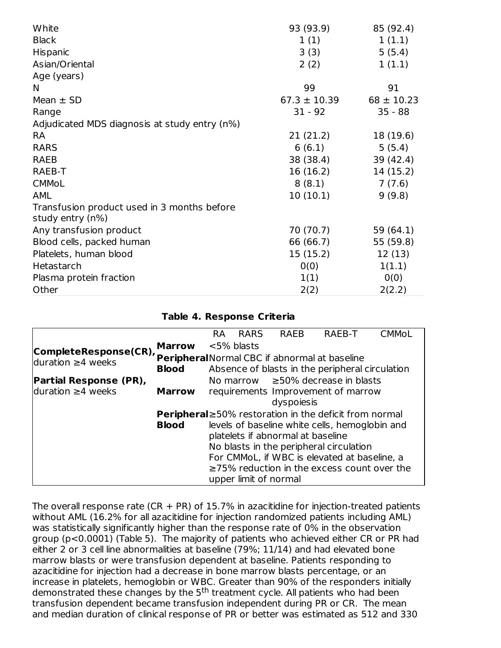| White                                                           | 93 (93.9)        | 85 (92.4)      |
|-----------------------------------------------------------------|------------------|----------------|
| <b>Black</b>                                                    | 1(1)             | 1(1.1)         |
| Hispanic                                                        | 3(3)             | 5(5.4)         |
| Asian/Oriental                                                  | 2(2)             | 1(1.1)         |
| Age (years)                                                     |                  |                |
| N                                                               | 99               | 91             |
| Mean $\pm$ SD                                                   | $67.3 \pm 10.39$ | $68 \pm 10.23$ |
| Range                                                           | $31 - 92$        | $35 - 88$      |
| Adjudicated MDS diagnosis at study entry (n%)                   |                  |                |
| <b>RA</b>                                                       | 21(21.2)         | 18 (19.6)      |
| <b>RARS</b>                                                     | 6(6.1)           | 5(5.4)         |
| <b>RAEB</b>                                                     | 38 (38.4)        | 39 (42.4)      |
| RAEB-T                                                          | 16 (16.2)        | 14(15.2)       |
| <b>CMMoL</b>                                                    | 8(8.1)           | 7(7.6)         |
| <b>AML</b>                                                      | 10(10.1)         | 9(9.8)         |
| Transfusion product used in 3 months before<br>study entry (n%) |                  |                |
| Any transfusion product                                         | 70 (70.7)        | 59 (64.1)      |
| Blood cells, packed human                                       | 66 (66.7)        | 55 (59.8)      |
| Platelets, human blood                                          | 15 (15.2)        | 12 (13)        |
| Hetastarch                                                      | 0(0)             | 1(1.1)         |
| Plasma protein fraction                                         | 1(1)             | 0(0)           |
| Other                                                           | 2(2)             | 2(2.2)         |

#### **Table 4. Response Criteria**

|                               |                                         | <b>RA</b> | <b>RARS</b>           | <b>RAEB</b>                       | <b>RAEB-T</b>                                                 | <b>CMMoL</b> |
|-------------------------------|-----------------------------------------|-----------|-----------------------|-----------------------------------|---------------------------------------------------------------|--------------|
| CompleteResponse(CR),         | <b>Marrow</b>                           |           | $<$ 5% blasts         |                                   |                                                               |              |
| duration $\geq$ 4 weeks       |                                         |           |                       |                                   | Peripheral Normal CBC if abnormal at baseline                 |              |
|                               | <b>Blood</b>                            |           |                       |                                   | Absence of blasts in the peripheral circulation               |              |
| <b>Partial Response (PR),</b> |                                         |           |                       |                                   | No marrow $\geq$ 50% decrease in blasts                       |              |
| $duration \geq 4 weeks$       | <b>Marrow</b>                           |           |                       |                                   | requirements Improvement of marrow                            |              |
|                               |                                         |           |                       | dyspoiesis                        |                                                               |              |
|                               |                                         |           |                       |                                   | <b>Peripheral</b> ≥50% restoration in the deficit from normal |              |
|                               | <b>Blood</b>                            |           |                       |                                   | levels of baseline white cells, hemoglobin and                |              |
|                               |                                         |           |                       | platelets if abnormal at baseline |                                                               |              |
|                               | No blasts in the peripheral circulation |           |                       |                                   |                                                               |              |
|                               |                                         |           |                       |                                   | For CMMoL, if WBC is elevated at baseline, a                  |              |
|                               |                                         |           |                       |                                   | $\geq$ 75% reduction in the excess count over the             |              |
|                               |                                         |           | upper limit of normal |                                   |                                                               |              |

The overall response rate  $(CR + PR)$  of 15.7% in azacitidine for injection-treated patients without AML (16.2% for all azacitidine for injection randomized patients including AML) was statistically significantly higher than the response rate of 0% in the observation group (p<0.0001) (Table 5). The majority of patients who achieved either CR or PR had either 2 or 3 cell line abnormalities at baseline (79%; 11/14) and had elevated bone marrow blasts or were transfusion dependent at baseline. Patients responding to azacitidine for injection had a decrease in bone marrow blasts percentage, or an increase in platelets, hemoglobin or WBC. Greater than 90% of the responders initially demonstrated these changes by the 5<sup>th</sup> treatment cycle. All patients who had been transfusion dependent became transfusion independent during PR or CR. The mean and median duration of clinical response of PR or better was estimated as 512 and 330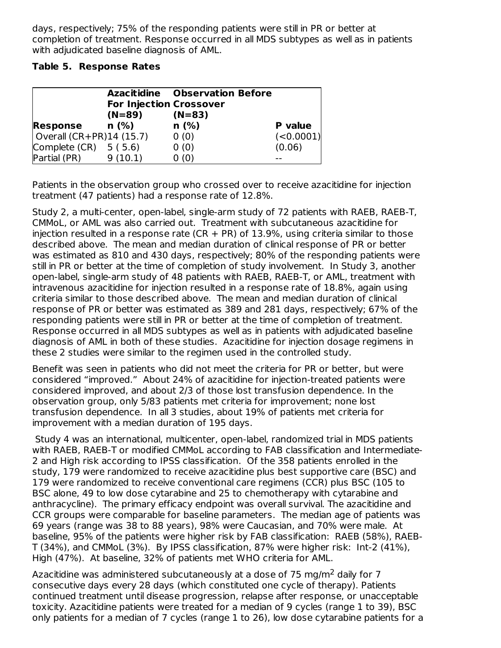days, respectively; 75% of the responding patients were still in PR or better at completion of treatment. Response occurred in all MDS subtypes as well as in patients with adjudicated baseline diagnosis of AML.

### **Table 5. Response Rates**

|                           |                                | <b>Azacitidine</b> Observation Before |           |
|---------------------------|--------------------------------|---------------------------------------|-----------|
|                           | <b>For Injection Crossover</b> |                                       |           |
|                           | (N=89)                         | $(N=83)$                              |           |
| <b>Response</b>           | n (%)                          | n(%)                                  | P value   |
| Overall $(CR+PR)14(15.7)$ |                                | 0(0)                                  | (<0.0001) |
| Complete $(CR) 5(5.6)$    |                                | 0(0)                                  | (0.06)    |
| Partial (PR)              | 9(10.1)                        | 0(0)                                  |           |

Patients in the observation group who crossed over to receive azacitidine for injection treatment (47 patients) had a response rate of 12.8%.

Study 2, a multi-center, open-label, single-arm study of 72 patients with RAEB, RAEB-T, CMMoL, or AML was also carried out. Treatment with subcutaneous azacitidine for injection resulted in a response rate ( $CR + PR$ ) of 13.9%, using criteria similar to those described above. The mean and median duration of clinical response of PR or better was estimated as 810 and 430 days, respectively; 80% of the responding patients were still in PR or better at the time of completion of study involvement. In Study 3, another open-label, single-arm study of 48 patients with RAEB, RAEB-T, or AML, treatment with intravenous azacitidine for injection resulted in a response rate of 18.8%, again using criteria similar to those described above. The mean and median duration of clinical response of PR or better was estimated as 389 and 281 days, respectively; 67% of the responding patients were still in PR or better at the time of completion of treatment. Response occurred in all MDS subtypes as well as in patients with adjudicated baseline diagnosis of AML in both of these studies. Azacitidine for injection dosage regimens in these 2 studies were similar to the regimen used in the controlled study.

Benefit was seen in patients who did not meet the criteria for PR or better, but were considered "improved." About 24% of azacitidine for injection-treated patients were considered improved, and about 2/3 of those lost transfusion dependence. In the observation group, only 5/83 patients met criteria for improvement; none lost transfusion dependence. In all 3 studies, about 19% of patients met criteria for improvement with a median duration of 195 days.

Study 4 was an international, multicenter, open-label, randomized trial in MDS patients with RAEB, RAEB-T or modified CMMoL according to FAB classification and Intermediate-2 and High risk according to IPSS classification. Of the 358 patients enrolled in the study, 179 were randomized to receive azacitidine plus best supportive care (BSC) and 179 were randomized to receive conventional care regimens (CCR) plus BSC (105 to BSC alone, 49 to low dose cytarabine and 25 to chemotherapy with cytarabine and anthracycline). The primary efficacy endpoint was overall survival. The azacitidine and CCR groups were comparable for baseline parameters. The median age of patients was 69 years (range was 38 to 88 years), 98% were Caucasian, and 70% were male. At baseline, 95% of the patients were higher risk by FAB classification: RAEB (58%), RAEB-T (34%), and CMMoL (3%). By IPSS classification, 87% were higher risk: Int-2 (41%), High (47%). At baseline, 32% of patients met WHO criteria for AML.

Azacitidine was administered subcutaneously at a dose of 75 mg/m<sup>2</sup> daily for 7 consecutive days every 28 days (which constituted one cycle of therapy). Patients continued treatment until disease progression, relapse after response, or unacceptable toxicity. Azacitidine patients were treated for a median of 9 cycles (range 1 to 39), BSC only patients for a median of 7 cycles (range 1 to 26), low dose cytarabine patients for a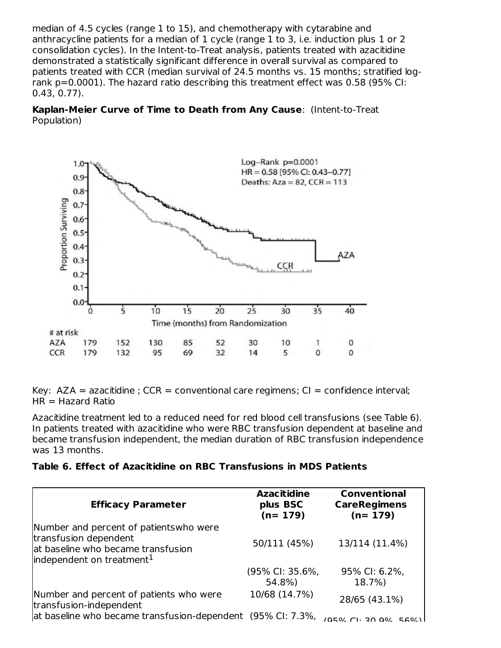median of 4.5 cycles (range 1 to 15), and chemotherapy with cytarabine and anthracycline patients for a median of 1 cycle (range 1 to 3, i.e. induction plus 1 or 2 consolidation cycles). In the Intent-to-Treat analysis, patients treated with azacitidine demonstrated a statistically significant difference in overall survival as compared to patients treated with CCR (median survival of 24.5 months vs. 15 months; stratified logrank p=0.0001). The hazard ratio describing this treatment effect was 0.58 (95% CI: 0.43, 0.77).

**Kaplan-Meier Curve of Time to Death from Any Cause**: (Intent-to-Treat Population)



Key:  $AZA = azacitidine$ ;  $CCR = conventional care requirements$ ;  $Cl = confidence interval$ ;  $HR = Hazard Ratio$ 

Azacitidine treatment led to a reduced need for red blood cell transfusions (see Table 6). In patients treated with azacitidine who were RBC transfusion dependent at baseline and became transfusion independent, the median duration of RBC transfusion independence was 13 months.

## **Table 6. Effect of Azacitidine on RBC Transfusions in MDS Patients**

| <b>Efficacy Parameter</b>                                                                                                                       | <b>Azacitidine</b><br>plus BSC<br>$(n=179)$ | <b>Conventional</b><br><b>CareRegimens</b><br>$(n=179)$ |
|-------------------------------------------------------------------------------------------------------------------------------------------------|---------------------------------------------|---------------------------------------------------------|
| Number and percent of patients who were<br>transfusion dependent<br>at baseline who became transfusion<br>independent on treatment <sup>1</sup> | 50/111 (45%)                                | 13/114 (11.4%)                                          |
|                                                                                                                                                 | (95% CI: 35.6%,<br>54.8%)                   | 95% CI: 6.2%,<br>18.7%)                                 |
| Number and percent of patients who were<br>transfusion-independent                                                                              | 10/68 (14.7%)                               | 28/65 (43.1%)                                           |
| at baseline who became transfusion-dependent (95% CI: 7.3%,                                                                                     |                                             | $(0.50/2)$ $(1.30.00/560/1)$                            |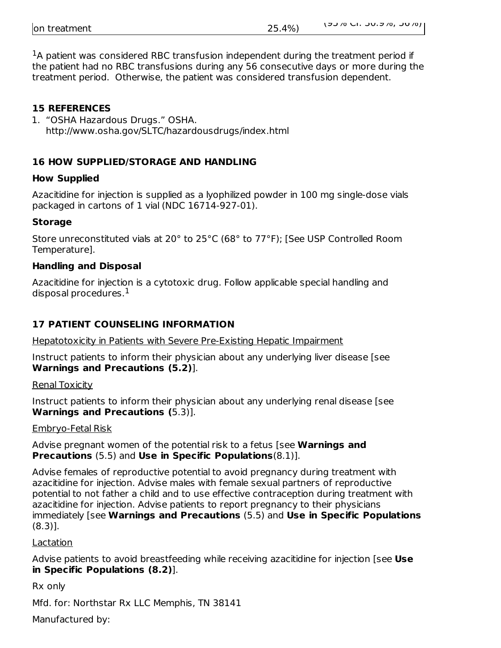| on treatment | 25.4%) | ן 0/ טכ ,0/ פ.טכ .ו ט <i>ו</i> כע |
|--------------|--------|-----------------------------------|
|              |        |                                   |

 $<sup>1</sup>A$  patient was considered RBC transfusion independent during the treatment period if</sup> the patient had no RBC transfusions during any 56 consecutive days or more during the treatment period. Otherwise, the patient was considered transfusion dependent.

### **15 REFERENCES**

1. "OSHA Hazardous Drugs." OSHA. http://www.osha.gov/SLTC/hazardousdrugs/index.html

## **16 HOW SUPPLIED/STORAGE AND HANDLING**

#### **How Supplied**

Azacitidine for injection is supplied as a lyophilized powder in 100 mg single-dose vials packaged in cartons of 1 vial (NDC 16714-927-01).

### **Storage**

Store unreconstituted vials at 20° to 25°C (68° to 77°F); [See USP Controlled Room Temperature].

### **Handling and Disposal**

Azacitidine for injection is a cytotoxic drug. Follow applicable special handling and disposal procedures. $^{\rm 1}$ 

## **17 PATIENT COUNSELING INFORMATION**

Hepatotoxicity in Patients with Severe Pre-Existing Hepatic Impairment

Instruct patients to inform their physician about any underlying liver disease [see **Warnings and Precautions (5.2)**].

Renal Toxicity

Instruct patients to inform their physician about any underlying renal disease [see **Warnings and Precautions (**5.3)].

#### Embryo-Fetal Risk

Advise pregnant women of the potential risk to a fetus [see **Warnings and Precautions** (5.5) and **Use in Specific Populations**(8.1)].

Advise females of reproductive potential to avoid pregnancy during treatment with azacitidine for injection. Advise males with female sexual partners of reproductive potential to not father a child and to use effective contraception during treatment with azacitidine for injection. Advise patients to report pregnancy to their physicians immediately [see **Warnings and Precautions** (5.5) and **Use in Specific Populations** (8.3)].

## Lactation

Advise patients to avoid breastfeeding while receiving azacitidine for injection [see **Use in Specific Populations (8.2)**].

Rx only

Mfd. for: Northstar Rx LLC Memphis, TN 38141

Manufactured by: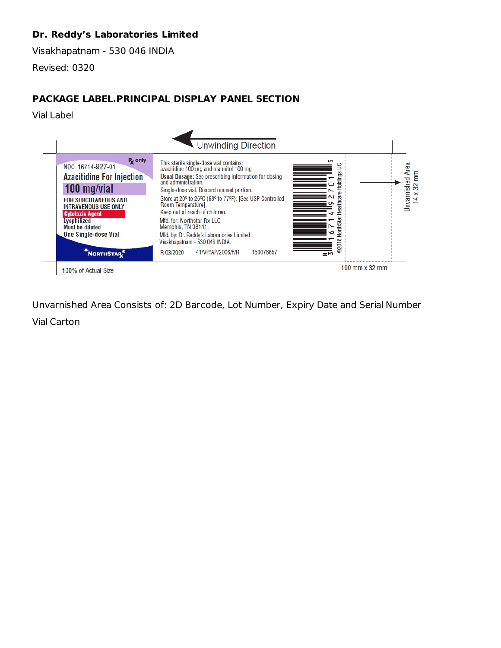# **Dr. Reddy's Laboratories Limited**

Visakhapatnam - 530 046 INDIA

Revised: 0320

# **PACKAGE LABEL.PRINCIPAL DISPLAY PANEL SECTION**

Vial Label



Unvarnished Area Consists of: 2D Barcode, Lot Number, Expiry Date and Serial Number Vial Carton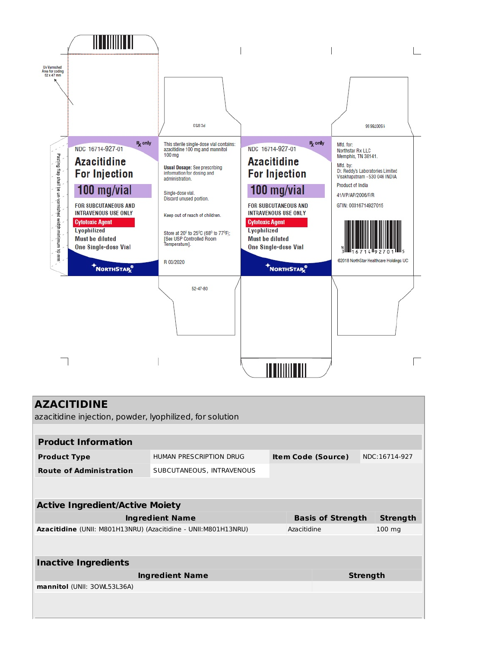

| <b>AZACITIDINE</b>                                              |                           |                           |                 |                  |  |  |  |
|-----------------------------------------------------------------|---------------------------|---------------------------|-----------------|------------------|--|--|--|
| azacitidine injection, powder, lyophilized, for solution        |                           |                           |                 |                  |  |  |  |
|                                                                 |                           |                           |                 |                  |  |  |  |
| <b>Product Information</b>                                      |                           |                           |                 |                  |  |  |  |
| <b>Product Type</b>                                             | HUMAN PRESCRIPTION DRUG   | <b>Item Code (Source)</b> |                 | NDC:16714-927    |  |  |  |
| <b>Route of Administration</b>                                  | SUBCUTANEOUS, INTRAVENOUS |                           |                 |                  |  |  |  |
|                                                                 |                           |                           |                 |                  |  |  |  |
|                                                                 |                           |                           |                 |                  |  |  |  |
| <b>Active Ingredient/Active Moiety</b>                          |                           |                           |                 |                  |  |  |  |
| <b>Ingredient Name</b>                                          | <b>Basis of Strength</b>  |                           | <b>Strength</b> |                  |  |  |  |
| Azacitidine (UNII: M801H13NRU) (Azacitidine - UNII: M801H13NRU) |                           | Azacitidine               |                 | $100 \text{ ma}$ |  |  |  |
|                                                                 |                           |                           |                 |                  |  |  |  |
| <b>Inactive Ingredients</b>                                     |                           |                           |                 |                  |  |  |  |
| <b>Ingredient Name</b>                                          |                           |                           | <b>Strength</b> |                  |  |  |  |
| mannitol (UNII: 30WL53L36A)                                     |                           |                           |                 |                  |  |  |  |
|                                                                 |                           |                           |                 |                  |  |  |  |
|                                                                 |                           |                           |                 |                  |  |  |  |
|                                                                 |                           |                           |                 |                  |  |  |  |